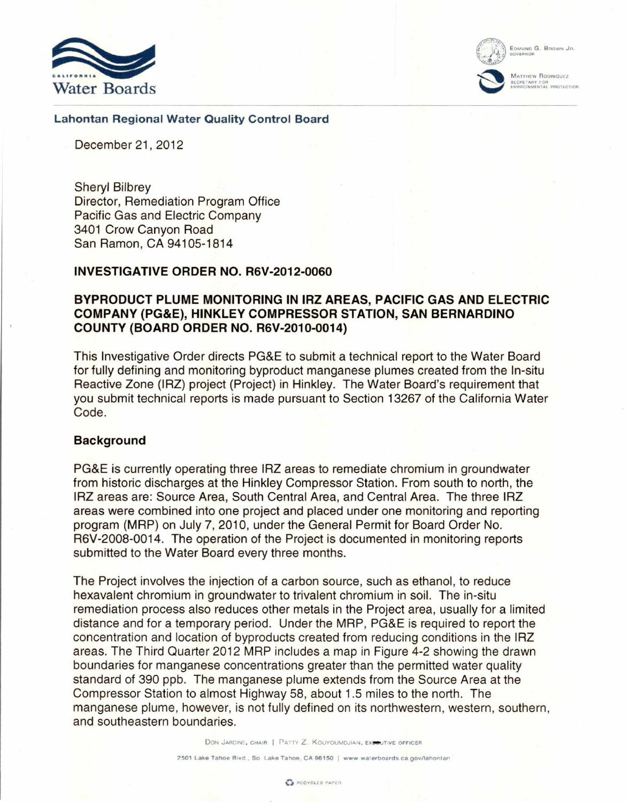



GOVERNOR

MATTHEW RODRIQUEZ SECRETARY FOR<br>ENVIRONMENTAL PROTECTION

### **Lahontan Regional Water Quality Control Board**

December 21, 2012

Sheryl Bilbrey Director, Remediation Program Office Pacific Gas and Electric Company 3401 Crow Canyon Road San Ramon, CA 94105-1814

## **INVESTIGATIVE ORDER NO. R6V-2012-0060**

# **BYPRODUCT PLUME MONITORING IN IRZ AREAS, PACIFIC GAS AND ELECTRIC COMPANY (PG&E), HINKLEY COMPRESSOR STATION, SAN BERNARDINO COUNTY (BOARD ORDER NO. R6V-2010-0014)**

This Investigative Order directs PG&E to submit a technical report to the Water Board for fully defining and monitoring byproduct manganese plumes created from the In-situ Reactive Zone (IRZ) project (Project) in Hinkley. The Water Board's requirement that you submit technical reports is made pursuant to Section 13267 of the California Water Code.

### **Background**

PG&E is currently operating three IRZ areas to remediate chromium in groundwater from historic discharges at the Hinkley Compressor Station. From south to north, the IRZ areas are: Source Area, South Central Area, and Central Area. The three IRZ areas were combined into one project and placed under one monitoring and reporting program (MRP) on July 7, 2010, under the General Permit for Board Order No. R6V-2008-0014. The operation of the Project is documented in monitoring reports submitted to the Water Board every three months.

The Project involves the injection of a carbon source, such as ethanol, to reduce hexavalent chromium in groundwater to trivalent chromium in soil. The in-situ remediation process also reduces other metals in the Project area, usually for a limited distance and for a temporary period. Under the MRP, PG&E is required to report the concentration and location of byproducts created from reducing conditions in the IRZ areas. The Third Quarter 2012 MRP includes a map in Figure 4-2 showing the drawn boundaries for manganese concentrations greater than the permitted water quality standard of 390 ppb. The manganese plume extends from the Source Area at the Compressor Station to almost Highway 58, about 1.5 miles to the north. The manganese plume, however, is not fully defined on its northwestern, western, southern, and southeastern boundaries.

DON JARDINE, CHAIR | PATTY Z. KOUYOUMDJIAN, EXPOUTIVE OFFICER

**2501 Lake Tahoe Blvd., So. Lake Tahoe, CA 96150 f www.waterboards.ca.govilahonlan**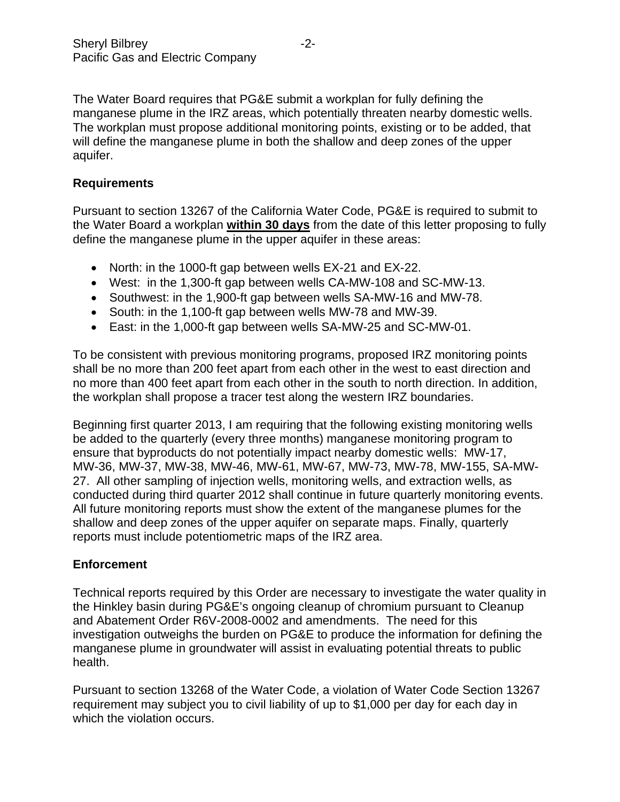The Water Board requires that PG&E submit a workplan for fully defining the manganese plume in the IRZ areas, which potentially threaten nearby domestic wells. The workplan must propose additional monitoring points, existing or to be added, that will define the manganese plume in both the shallow and deep zones of the upper aquifer.

# **Requirements**

Pursuant to section 13267 of the California Water Code, PG&E is required to submit to the Water Board a workplan **within 30 days** from the date of this letter proposing to fully define the manganese plume in the upper aquifer in these areas:

- North: in the 1000-ft gap between wells EX-21 and EX-22.
- West: in the 1,300-ft gap between wells CA-MW-108 and SC-MW-13.
- Southwest: in the 1,900-ft gap between wells SA-MW-16 and MW-78.
- South: in the 1,100-ft gap between wells MW-78 and MW-39.
- East: in the 1,000-ft gap between wells SA-MW-25 and SC-MW-01.

To be consistent with previous monitoring programs, proposed IRZ monitoring points shall be no more than 200 feet apart from each other in the west to east direction and no more than 400 feet apart from each other in the south to north direction. In addition, the workplan shall propose a tracer test along the western IRZ boundaries.

Beginning first quarter 2013, I am requiring that the following existing monitoring wells be added to the quarterly (every three months) manganese monitoring program to ensure that byproducts do not potentially impact nearby domestic wells: MW-17, MW-36, MW-37, MW-38, MW-46, MW-61, MW-67, MW-73, MW-78, MW-155, SA-MW-27. All other sampling of injection wells, monitoring wells, and extraction wells, as conducted during third quarter 2012 shall continue in future quarterly monitoring events. All future monitoring reports must show the extent of the manganese plumes for the shallow and deep zones of the upper aquifer on separate maps. Finally, quarterly reports must include potentiometric maps of the IRZ area.

# **Enforcement**

Technical reports required by this Order are necessary to investigate the water quality in the Hinkley basin during PG&E's ongoing cleanup of chromium pursuant to Cleanup and Abatement Order R6V-2008-0002 and amendments. The need for this investigation outweighs the burden on PG&E to produce the information for defining the manganese plume in groundwater will assist in evaluating potential threats to public health.

Pursuant to section 13268 of the Water Code, a violation of Water Code Section 13267 requirement may subject you to civil liability of up to \$1,000 per day for each day in which the violation occurs.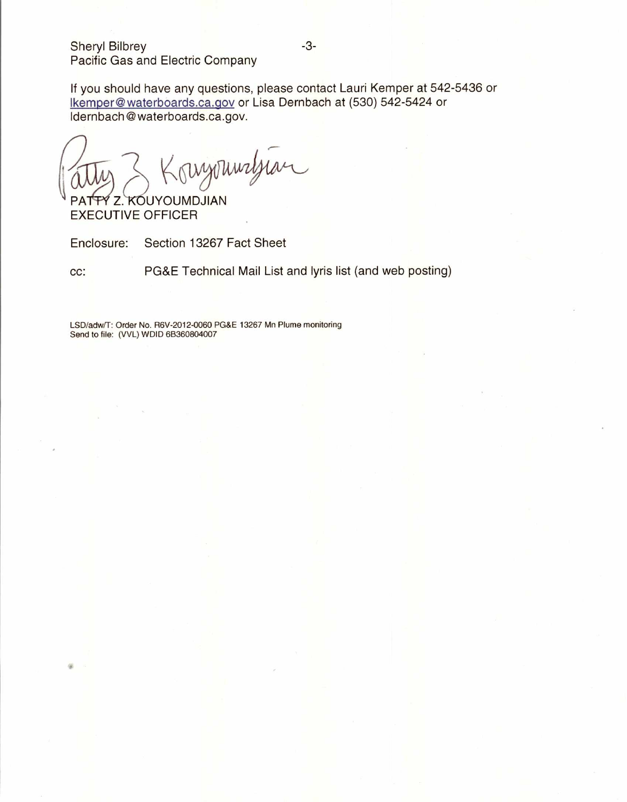Sheryl Bilbrey **-3-**Pacific Gas and Electric Company

If you should have any questions, please contact Lauri Kemper at 542-5436 or Ikemper@waterboards.ca.gov or Lisa Dernbach at (530) 542-5424 or Idernbach@waterboards.ca.gov.

3 Konzonnaljian

EXECUTIVE OFFICER

Enclosure: Section 13267 Fact Sheet

cc: PG&E Technical Mail List and lyris list (and web posting)

LSD/adw/T: Order No. R6V-2012-0060 PG&E 13267 Mn Plume monitoring Send to file: (VVL) WDID 68360804007